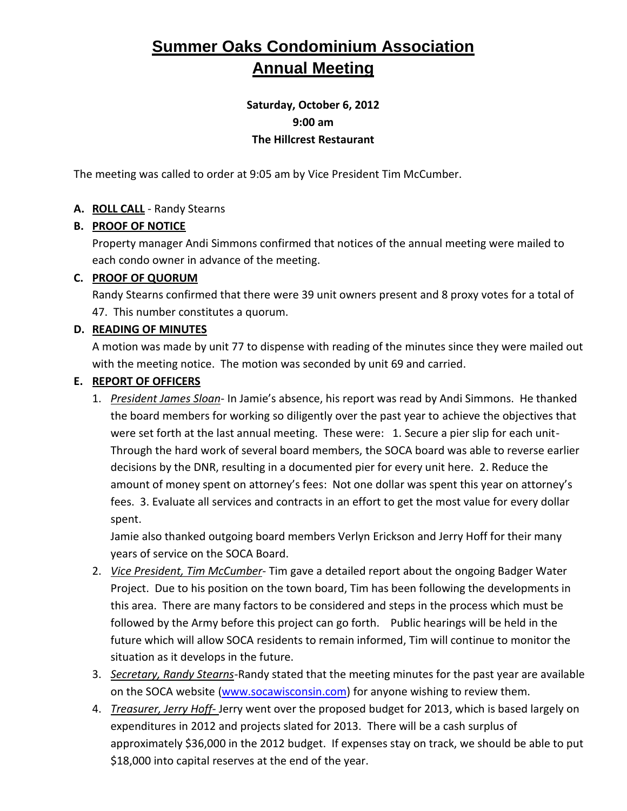# **Summer Oaks Condominium Association Annual Meeting**

# **Saturday, October 6, 2012 9:00 am The Hillcrest Restaurant**

The meeting was called to order at 9:05 am by Vice President Tim McCumber.

#### **A. ROLL CALL** - Randy Stearns

#### **B. PROOF OF NOTICE**

Property manager Andi Simmons confirmed that notices of the annual meeting were mailed to each condo owner in advance of the meeting.

#### **C. PROOF OF QUORUM**

Randy Stearns confirmed that there were 39 unit owners present and 8 proxy votes for a total of 47. This number constitutes a quorum.

#### **D. READING OF MINUTES**

A motion was made by unit 77 to dispense with reading of the minutes since they were mailed out with the meeting notice. The motion was seconded by unit 69 and carried.

#### **E. REPORT OF OFFICERS**

1. *President James Sloan*- In Jamie's absence, his report was read by Andi Simmons. He thanked the board members for working so diligently over the past year to achieve the objectives that were set forth at the last annual meeting. These were: 1. Secure a pier slip for each unit-Through the hard work of several board members, the SOCA board was able to reverse earlier decisions by the DNR, resulting in a documented pier for every unit here. 2. Reduce the amount of money spent on attorney's fees: Not one dollar was spent this year on attorney's fees. 3. Evaluate all services and contracts in an effort to get the most value for every dollar spent.

Jamie also thanked outgoing board members Verlyn Erickson and Jerry Hoff for their many years of service on the SOCA Board.

- 2. *Vice President, Tim McCumber* Tim gave a detailed report about the ongoing Badger Water Project. Due to his position on the town board, Tim has been following the developments in this area. There are many factors to be considered and steps in the process which must be followed by the Army before this project can go forth. Public hearings will be held in the future which will allow SOCA residents to remain informed, Tim will continue to monitor the situation as it develops in the future.
- 3. *Secretary, Randy Stearns*-Randy stated that the meeting minutes for the past year are available on the SOCA website [\(www.socawisconsin.com\)](http://www.socawisconsin.com/) for anyone wishing to review them.
- 4. *Treasurer, Jerry Hoff-* Jerry went over the proposed budget for 2013, which is based largely on expenditures in 2012 and projects slated for 2013. There will be a cash surplus of approximately \$36,000 in the 2012 budget. If expenses stay on track, we should be able to put \$18,000 into capital reserves at the end of the year.